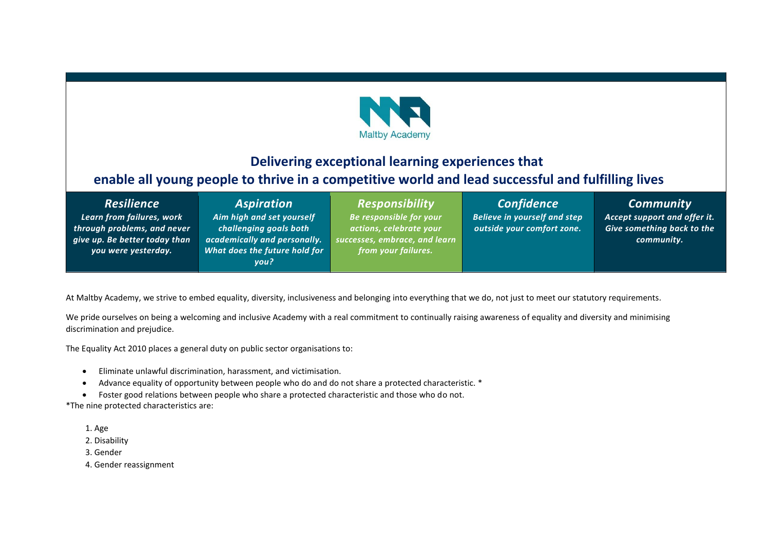

# *to* **Delivering exceptional learning experiences that enable all young people to thrive in a competitive world and lead successful and fulfilling lives** *morrow*

| <b>Resilience</b> |
|-------------------|
|-------------------|

*Learn from failures, work through problems, and never give up. Be better today than you were yesterday.*

## *Aspiration Aim high and set yourself challenging goals both*

*academically and personally. What does the future hold for you?*

*Responsibility Be responsible for your actions, celebrate your successes, embrace, and learn from your failures.*

*Confidence Believe in yourself and step outside your comfort zone.*

*Community*

*Accept support and offer it. Give something back to the community.*

At Maltby Academy, we strive to embed equality, diversity, inclusiveness and belonging into everything that we do, not just to meet our statutory requirements.

We pride ourselves on being a welcoming and inclusive Academy with a real commitment to continually raising awareness of equality and diversity and minimising discrimination and prejudice.

The Equality Act 2010 places a general duty on public sector organisations to:

- Eliminate unlawful discrimination, harassment, and victimisation.
- Advance equality of opportunity between people who do and do not share a protected characteristic. \*
- Foster good relations between people who share a protected characteristic and those who do not.

\*The nine protected characteristics are:

- 1. Age
- 2. Disability
- 3. Gender
- 4. Gender reassignment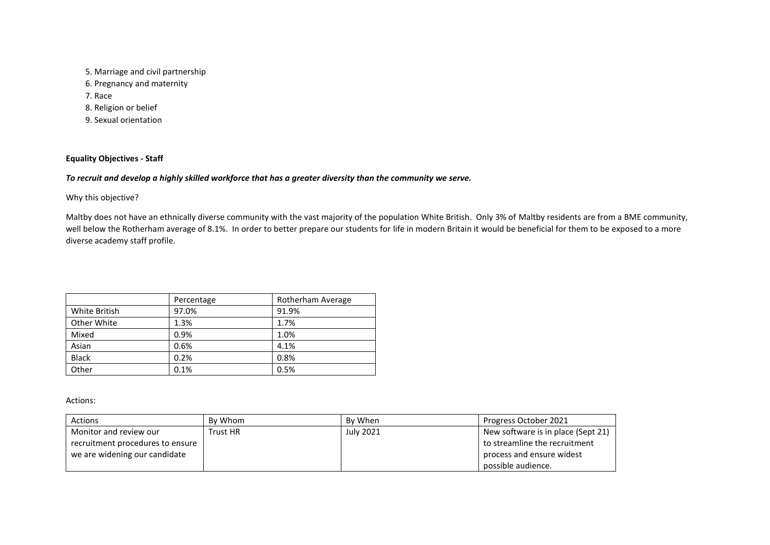5. Marriage and civil partnership 6. Pregnancy and maternity 7. Race 8. Religion or belief 9. Sexual orientation

## **Equality Objectives - Staff**

## *To recruit and develop a highly skilled workforce that has a greater diversity than the community we serve.*

Why this objective?

Maltby does not have an ethnically diverse community with the vast majority of the population White British. Only 3% of Maltby residents are from a BME community, well below the Rotherham average of 8.1%. In order to better prepare our students for life in modern Britain it would be beneficial for them to be exposed to a more diverse academy staff profile.

|               | Percentage | Rotherham Average |
|---------------|------------|-------------------|
| White British | 97.0%      | 91.9%             |
| Other White   | 1.3%       | 1.7%              |
| Mixed         | 0.9%       | 1.0%              |
| Asian         | 0.6%       | 4.1%              |
| <b>Black</b>  | 0.2%       | 0.8%              |
| Other         | 0.1%       | 0.5%              |

Actions:

| Actions                          | By Whom         | By When   | Progress October 2021              |
|----------------------------------|-----------------|-----------|------------------------------------|
| Monitor and review our           | <b>Trust HR</b> | July 2021 | New software is in place (Sept 21) |
| recruitment procedures to ensure |                 |           | to streamline the recruitment      |
| we are widening our candidate    |                 |           | process and ensure widest          |
|                                  |                 |           | possible audience.                 |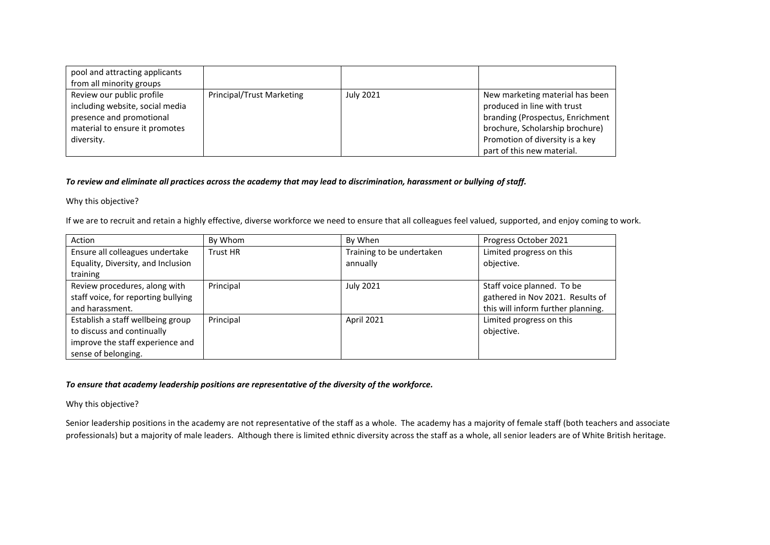| pool and attracting applicants<br>from all minority groups |                           |                  |                                  |
|------------------------------------------------------------|---------------------------|------------------|----------------------------------|
|                                                            |                           |                  |                                  |
| Review our public profile                                  | Principal/Trust Marketing | <b>July 2021</b> | New marketing material has been  |
| including website, social media                            |                           |                  | produced in line with trust      |
| presence and promotional                                   |                           |                  | branding (Prospectus, Enrichment |
| material to ensure it promotes                             |                           |                  | brochure, Scholarship brochure)  |
| diversity.                                                 |                           |                  | Promotion of diversity is a key  |
|                                                            |                           |                  | part of this new material.       |

#### *To review and eliminate all practices across the academy that may lead to discrimination, harassment or bullying of staff.*

Why this objective?

If we are to recruit and retain a highly effective, diverse workforce we need to ensure that all colleagues feel valued, supported, and enjoy coming to work.

| Action                              | By Whom   | By When                   | Progress October 2021              |
|-------------------------------------|-----------|---------------------------|------------------------------------|
| Ensure all colleagues undertake     | Trust HR  | Training to be undertaken | Limited progress on this           |
| Equality, Diversity, and Inclusion  |           | annually                  | objective.                         |
| training                            |           |                           |                                    |
| Review procedures, along with       | Principal | <b>July 2021</b>          | Staff voice planned. To be         |
| staff voice, for reporting bullying |           |                           | gathered in Nov 2021. Results of   |
| and harassment.                     |           |                           | this will inform further planning. |
| Establish a staff wellbeing group   | Principal | April 2021                | Limited progress on this           |
| to discuss and continually          |           |                           | objective.                         |
| improve the staff experience and    |           |                           |                                    |
| sense of belonging.                 |           |                           |                                    |

## *To ensure that academy leadership positions are representative of the diversity of the workforce.*

Why this objective?

Senior leadership positions in the academy are not representative of the staff as a whole. The academy has a majority of female staff (both teachers and associate professionals) but a majority of male leaders. Although there is limited ethnic diversity across the staff as a whole, all senior leaders are of White British heritage.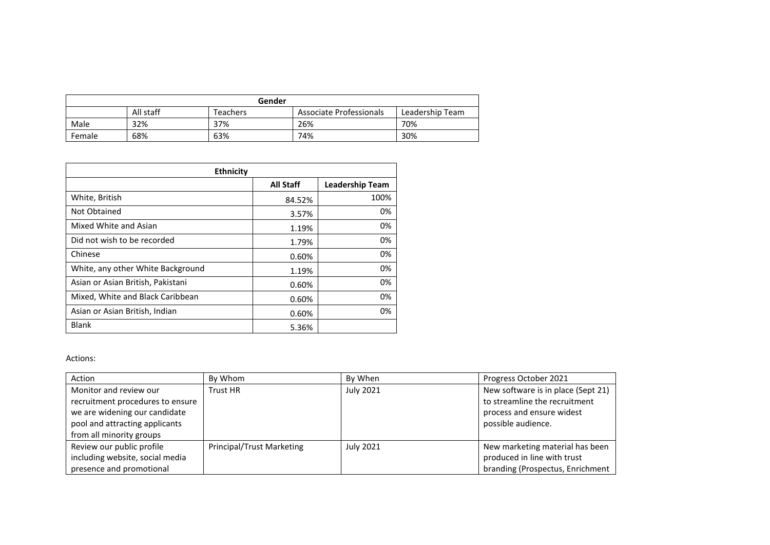| Gender                                                              |     |     |     |     |  |
|---------------------------------------------------------------------|-----|-----|-----|-----|--|
| All staff<br>Associate Professionals<br>Leadership Team<br>Teachers |     |     |     |     |  |
| Male                                                                | 32% | 37% | 26% | 70% |  |
| Female                                                              | 68% | 63% | 74% | 30% |  |

| <b>Ethnicity</b>                  |                  |                        |
|-----------------------------------|------------------|------------------------|
|                                   | <b>All Staff</b> | <b>Leadership Team</b> |
| White, British                    | 84.52%           | 100%                   |
| Not Obtained                      | 3.57%            | 0%                     |
| Mixed White and Asian             | 1.19%            | 0%                     |
| Did not wish to be recorded       | 1.79%            | 0%                     |
| Chinese                           | 0.60%            | 0%                     |
| White, any other White Background | 1.19%            | 0%                     |
| Asian or Asian British, Pakistani | 0.60%            | 0%                     |
| Mixed, White and Black Caribbean  | 0.60%            | 0%                     |
| Asian or Asian British, Indian    | 0.60%            | 0%                     |
| <b>Blank</b>                      | 5.36%            |                        |

#### Actions:

| Action                           | By Whom                          | By When          | Progress October 2021              |
|----------------------------------|----------------------------------|------------------|------------------------------------|
| Monitor and review our           | Trust HR                         | July 2021        | New software is in place (Sept 21) |
| recruitment procedures to ensure |                                  |                  | to streamline the recruitment      |
| we are widening our candidate    |                                  |                  | process and ensure widest          |
| pool and attracting applicants   |                                  |                  | possible audience.                 |
| from all minority groups         |                                  |                  |                                    |
| Review our public profile        | <b>Principal/Trust Marketing</b> | <b>July 2021</b> | New marketing material has been    |
| including website, social media  |                                  |                  | produced in line with trust        |
| presence and promotional         |                                  |                  | branding (Prospectus, Enrichment   |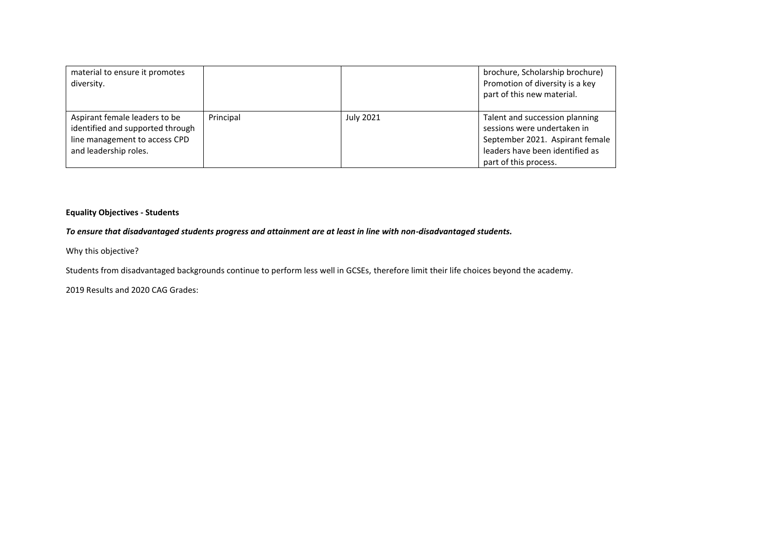| material to ensure it promotes<br>diversity.                                                                                |           |           | brochure, Scholarship brochure)<br>Promotion of diversity is a key<br>part of this new material.                                                             |
|-----------------------------------------------------------------------------------------------------------------------------|-----------|-----------|--------------------------------------------------------------------------------------------------------------------------------------------------------------|
| Aspirant female leaders to be<br>identified and supported through<br>line management to access CPD<br>and leadership roles. | Principal | July 2021 | Talent and succession planning<br>sessions were undertaken in<br>September 2021. Aspirant female<br>leaders have been identified as<br>part of this process. |

### **Equality Objectives - Students**

## *To ensure that disadvantaged students progress and attainment are at least in line with non-disadvantaged students.*

Why this objective?

Students from disadvantaged backgrounds continue to perform less well in GCSEs, therefore limit their life choices beyond the academy.

2019 Results and 2020 CAG Grades: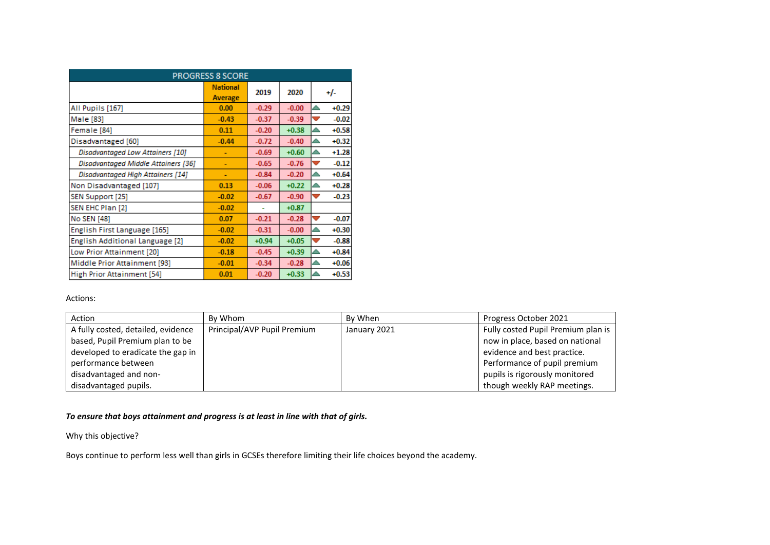| <b>PROGRESS 8 SCORE</b>                    |                            |         |         |                                     |
|--------------------------------------------|----------------------------|---------|---------|-------------------------------------|
|                                            | <b>National</b><br>Average | 2019    | 2020    | +/-                                 |
| All Pupils [167]                           | 0.00                       | $-0.29$ | $-0.00$ | $+0.29$<br>$\blacktriangle$         |
| Male [83]                                  | $-0.43$                    | $-0.37$ | $-0.39$ | $-0.02$<br>v                        |
| Female [84]                                | 0.11                       | $-0.20$ | $+0.38$ | $+0.58$<br>≏                        |
| Disadvantaged [60]                         | $-0.44$                    | $-0.72$ | $-0.40$ | $+0.32$<br>∼                        |
| Disadvantaged Low Attainers [10]           | ۰                          | $-0.69$ | $+0.60$ | $+1.28$<br>≏                        |
| <b>Disadvantaged Middle Attainers [36]</b> | ۰                          | $-0.65$ | $-0.76$ | $-0.12$<br>v                        |
| Disadvantaged High Attainers [14]          |                            | $-0.84$ | $-0.20$ | $+0.64$<br>△                        |
| Non Disadvantaged [107]                    | 0.13                       | $-0.06$ | $+0.22$ | $+0.28$<br>△                        |
| SEN Support [25]                           | $-0.02$                    | $-0.67$ | $-0.90$ | $-0.23$<br>v                        |
| SEN EHC Plan [2]                           | $-0.02$                    |         | $+0.87$ |                                     |
| No SEN [48]                                | 0.07                       | $-0.21$ | $-0.28$ | $-0.07$<br>$\checkmark$             |
| English First Language [165]               | $-0.02$                    | $-0.31$ | $-0.00$ | $+0.30$                             |
| English Additional Language [2]            | $-0.02$                    | $+0.94$ | $+0.05$ | $-0.88$<br>$\overline{\phantom{a}}$ |
| Low Prior Attainment [20]                  | $-0.18$                    | $-0.45$ | $+0.39$ | $+0.84$                             |
| Middle Prior Attainment [93]               | $-0.01$                    | $-0.34$ | $-0.28$ | $+0.06$                             |
| <b>High Prior Attainment [54]</b>          | 0.01                       | $-0.20$ | $+0.33$ | $+0.53$                             |

#### Actions:

| Action                             | By Whom                     | By When      | Progress October 2021              |
|------------------------------------|-----------------------------|--------------|------------------------------------|
| A fully costed, detailed, evidence | Principal/AVP Pupil Premium | January 2021 | Fully costed Pupil Premium plan is |
| based, Pupil Premium plan to be    |                             |              | now in place, based on national    |
| developed to eradicate the gap in  |                             |              | evidence and best practice.        |
| performance between                |                             |              | Performance of pupil premium       |
| disadvantaged and non-             |                             |              | pupils is rigorously monitored     |
| disadvantaged pupils.              |                             |              | though weekly RAP meetings.        |

## *To ensure that boys attainment and progress is at least in line with that of girls.*

Why this objective?

Boys continue to perform less well than girls in GCSEs therefore limiting their life choices beyond the academy.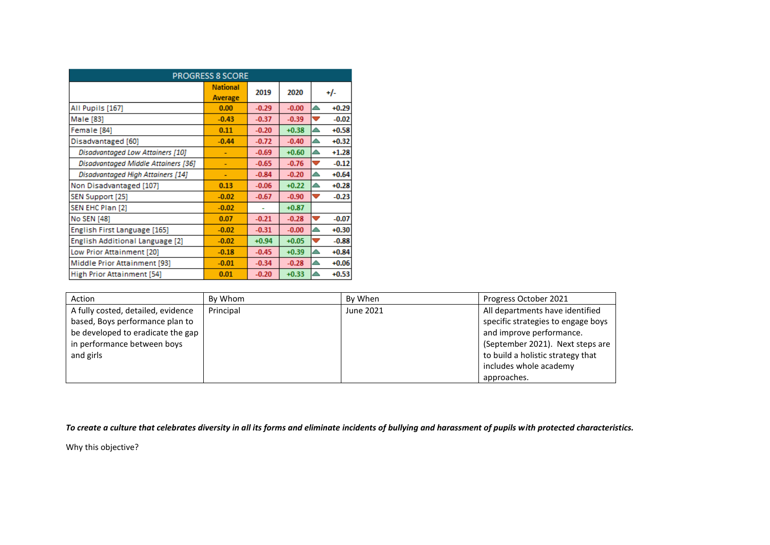| <b>PROGRESS 8 SCORE</b>                    |                            |         |         |                                     |
|--------------------------------------------|----------------------------|---------|---------|-------------------------------------|
|                                            | <b>National</b><br>Average | 2019    | 2020    | <u>+/-</u>                          |
| All Pupils [167]                           | 0.00                       | $-0.29$ | $-0.00$ | $+0.29$<br>$\triangle$              |
| Male [83]                                  | $-0.43$                    | $-0.37$ | $-0.39$ | $-0.02$<br>$\overline{\phantom{a}}$ |
| Female [84]                                | 0.11                       | $-0.20$ | $+0.38$ | $+0.58$<br>△                        |
| Disadvantaged [60]                         | $-0.44$                    | $-0.72$ | $-0.40$ | $+0.32$<br>≏                        |
| Disadvantaged Low Attainers [10]           |                            | $-0.69$ | $+0.60$ | $+1.28$<br>≏                        |
| <b>Disadvantaged Middle Attainers [36]</b> | ۰                          | $-0.65$ | $-0.76$ | $-0.12$<br>$\overline{\phantom{a}}$ |
| Disadvantaged High Attainers [14]          | ۰                          | $-0.84$ | $-0.20$ | $+0.64$<br>△                        |
| Non Disadvantaged [107]                    | 0.13                       | $-0.06$ | $+0.22$ | $+0.28$                             |
| SEN Support [25]                           | $-0.02$                    | $-0.67$ | $-0.90$ | $-0.23$<br>v                        |
| SEN EHC Plan [2]                           | $-0.02$                    |         | $+0.87$ |                                     |
| No SEN [48]                                | 0.07                       | $-0.21$ | $-0.28$ | $-0.07$<br>$\overline{\phantom{a}}$ |
| English First Language [165]               | $-0.02$                    | $-0.31$ | $-0.00$ | $+0.30$<br>△                        |
| English Additional Language [2]            | $-0.02$                    | $+0.94$ | $+0.05$ | $-0.88$<br>U                        |
| Low Prior Attainment [20]                  | $-0.18$                    | $-0.45$ | $+0.39$ | $+0.84$                             |
| Middle Prior Attainment [93]               | $-0.01$                    | $-0.34$ | $-0.28$ | $+0.06$                             |
| High Prior Attainment [54]                 | 0.01                       | $-0.20$ | $+0.33$ | $+0.53$                             |

| Action                                                                                                                                                 | By Whom   | By When   | Progress October 2021                                                                                                                                                                                |
|--------------------------------------------------------------------------------------------------------------------------------------------------------|-----------|-----------|------------------------------------------------------------------------------------------------------------------------------------------------------------------------------------------------------|
| A fully costed, detailed, evidence<br>based, Boys performance plan to<br>be developed to eradicate the gap<br>in performance between boys<br>and girls | Principal | June 2021 | All departments have identified<br>specific strategies to engage boys<br>and improve performance.<br>(September 2021). Next steps are<br>to build a holistic strategy that<br>includes whole academy |
|                                                                                                                                                        |           |           | approaches.                                                                                                                                                                                          |

*To create a culture that celebrates diversity in all its forms and eliminate incidents of bullying and harassment of pupils with protected characteristics.*

Why this objective?